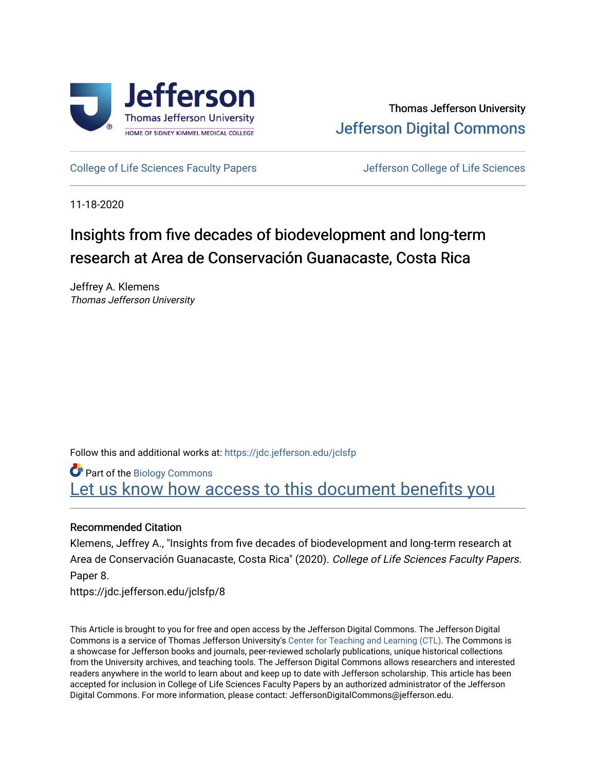

[College of Life Sciences Faculty Papers](https://jdc.jefferson.edu/jclsfp) **Jefferson College of Life Sciences** 

11-18-2020

# Insights from five decades of biodevelopment and long-term research at Area de Conservación Guanacaste, Costa Rica

Jeffrey A. Klemens Thomas Jefferson University

Follow this and additional works at: [https://jdc.jefferson.edu/jclsfp](https://jdc.jefferson.edu/jclsfp?utm_source=jdc.jefferson.edu%2Fjclsfp%2F8&utm_medium=PDF&utm_campaign=PDFCoverPages)

Part of the [Biology Commons](http://network.bepress.com/hgg/discipline/41?utm_source=jdc.jefferson.edu%2Fjclsfp%2F8&utm_medium=PDF&utm_campaign=PDFCoverPages)  Let us know how access to this document benefits you

### Recommended Citation

Klemens, Jeffrey A., "Insights from five decades of biodevelopment and long-term research at Area de Conservación Guanacaste, Costa Rica" (2020). College of Life Sciences Faculty Papers. Paper 8.

https://jdc.jefferson.edu/jclsfp/8

This Article is brought to you for free and open access by the Jefferson Digital Commons. The Jefferson Digital Commons is a service of Thomas Jefferson University's [Center for Teaching and Learning \(CTL\)](http://www.jefferson.edu/university/teaching-learning.html/). The Commons is a showcase for Jefferson books and journals, peer-reviewed scholarly publications, unique historical collections from the University archives, and teaching tools. The Jefferson Digital Commons allows researchers and interested readers anywhere in the world to learn about and keep up to date with Jefferson scholarship. This article has been accepted for inclusion in College of Life Sciences Faculty Papers by an authorized administrator of the Jefferson Digital Commons. For more information, please contact: JeffersonDigitalCommons@jefferson.edu.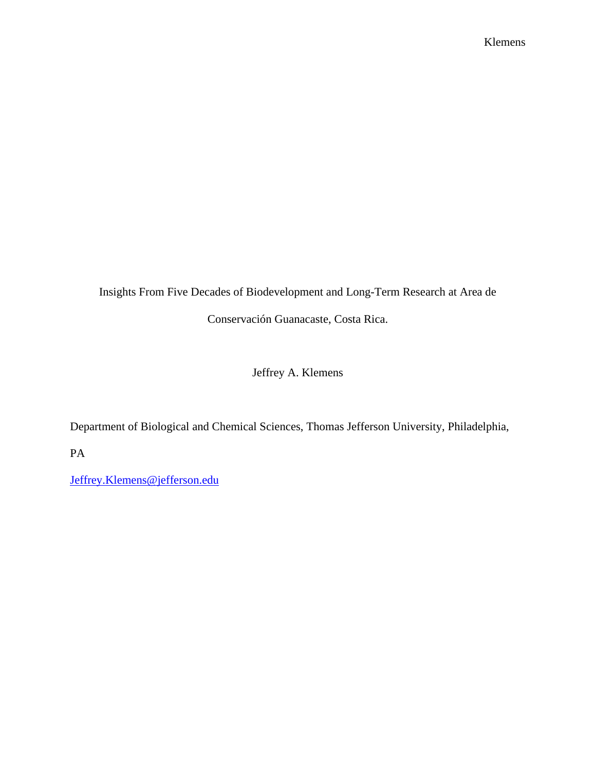Insights From Five Decades of Biodevelopment and Long-Term Research at Area de

Conservación Guanacaste, Costa Rica.

Jeffrey A. Klemens

Department of Biological and Chemical Sciences, Thomas Jefferson University, Philadelphia,

PA

[Jeffrey.Klemens@jefferson.edu](mailto:Jeffrey.Klemens@jefferson.edu)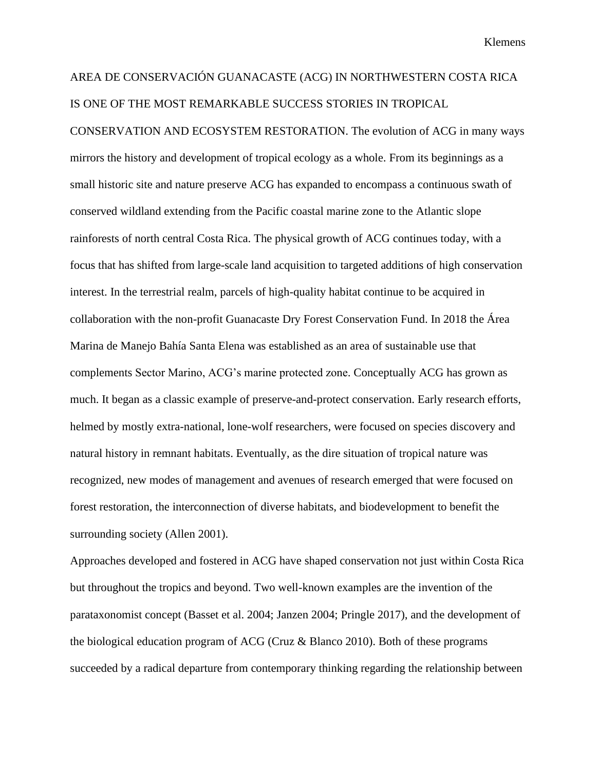## AREA DE CONSERVACIÓN GUANACASTE (ACG) IN NORTHWESTERN COSTA RICA IS ONE OF THE MOST REMARKABLE SUCCESS STORIES IN TROPICAL

CONSERVATION AND ECOSYSTEM RESTORATION. The evolution of ACG in many ways mirrors the history and development of tropical ecology as a whole. From its beginnings as a small historic site and nature preserve ACG has expanded to encompass a continuous swath of conserved wildland extending from the Pacific coastal marine zone to the Atlantic slope rainforests of north central Costa Rica. The physical growth of ACG continues today, with a focus that has shifted from large-scale land acquisition to targeted additions of high conservation interest. In the terrestrial realm, parcels of high-quality habitat continue to be acquired in collaboration with the non-profit Guanacaste Dry Forest Conservation Fund. In 2018 the Área Marina de Manejo Bahía Santa Elena was established as an area of sustainable use that complements Sector Marino, ACG's marine protected zone. Conceptually ACG has grown as much. It began as a classic example of preserve-and-protect conservation. Early research efforts, helmed by mostly extra-national, lone-wolf researchers, were focused on species discovery and natural history in remnant habitats. Eventually, as the dire situation of tropical nature was recognized, new modes of management and avenues of research emerged that were focused on forest restoration, the interconnection of diverse habitats, and biodevelopment to benefit the surrounding society (Allen 2001).

Approaches developed and fostered in ACG have shaped conservation not just within Costa Rica but throughout the tropics and beyond. Two well-known examples are the invention of the parataxonomist concept (Basset et al. 2004; Janzen 2004; Pringle 2017), and the development of the biological education program of ACG (Cruz & Blanco 2010). Both of these programs succeeded by a radical departure from contemporary thinking regarding the relationship between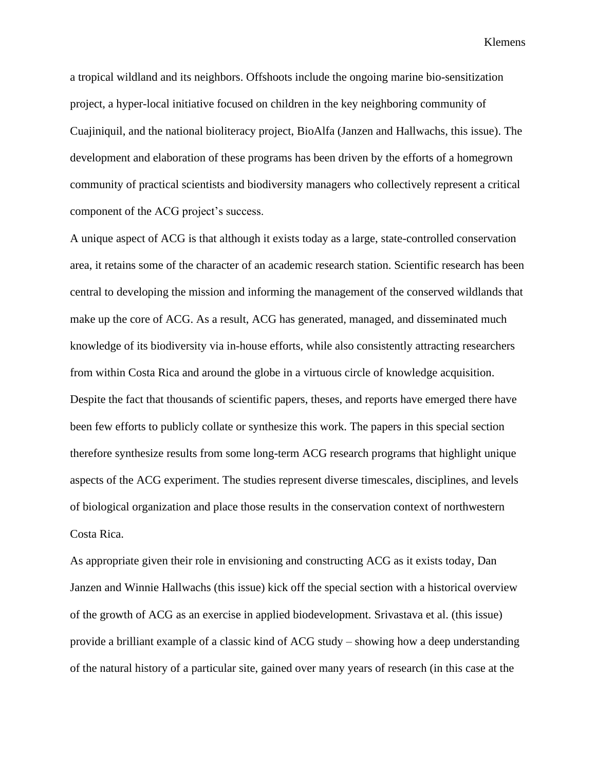a tropical wildland and its neighbors. Offshoots include the ongoing marine bio-sensitization project, a hyper-local initiative focused on children in the key neighboring community of Cuajiniquil, and the national bioliteracy project, BioAlfa (Janzen and Hallwachs, this issue). The development and elaboration of these programs has been driven by the efforts of a homegrown community of practical scientists and biodiversity managers who collectively represent a critical component of the ACG project's success.

A unique aspect of ACG is that although it exists today as a large, state-controlled conservation area, it retains some of the character of an academic research station. Scientific research has been central to developing the mission and informing the management of the conserved wildlands that make up the core of ACG. As a result, ACG has generated, managed, and disseminated much knowledge of its biodiversity via in-house efforts, while also consistently attracting researchers from within Costa Rica and around the globe in a virtuous circle of knowledge acquisition. Despite the fact that thousands of scientific papers, theses, and reports have emerged there have been few efforts to publicly collate or synthesize this work. The papers in this special section therefore synthesize results from some long-term ACG research programs that highlight unique aspects of the ACG experiment. The studies represent diverse timescales, disciplines, and levels of biological organization and place those results in the conservation context of northwestern Costa Rica.

As appropriate given their role in envisioning and constructing ACG as it exists today, Dan Janzen and Winnie Hallwachs (this issue) kick off the special section with a historical overview of the growth of ACG as an exercise in applied biodevelopment. Srivastava et al. (this issue) provide a brilliant example of a classic kind of ACG study – showing how a deep understanding of the natural history of a particular site, gained over many years of research (in this case at the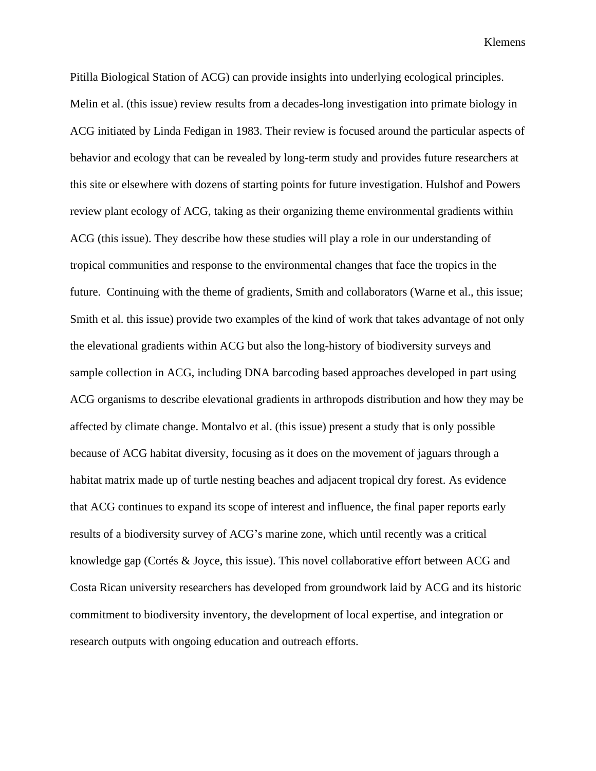Pitilla Biological Station of ACG) can provide insights into underlying ecological principles. Melin et al. (this issue) review results from a decades-long investigation into primate biology in ACG initiated by Linda Fedigan in 1983. Their review is focused around the particular aspects of behavior and ecology that can be revealed by long-term study and provides future researchers at this site or elsewhere with dozens of starting points for future investigation. Hulshof and Powers review plant ecology of ACG, taking as their organizing theme environmental gradients within ACG (this issue). They describe how these studies will play a role in our understanding of tropical communities and response to the environmental changes that face the tropics in the future. Continuing with the theme of gradients, Smith and collaborators (Warne et al., this issue; Smith et al. this issue) provide two examples of the kind of work that takes advantage of not only the elevational gradients within ACG but also the long-history of biodiversity surveys and sample collection in ACG, including DNA barcoding based approaches developed in part using ACG organisms to describe elevational gradients in arthropods distribution and how they may be affected by climate change. Montalvo et al. (this issue) present a study that is only possible because of ACG habitat diversity, focusing as it does on the movement of jaguars through a habitat matrix made up of turtle nesting beaches and adjacent tropical dry forest. As evidence that ACG continues to expand its scope of interest and influence, the final paper reports early results of a biodiversity survey of ACG's marine zone, which until recently was a critical knowledge gap (Cortés & Joyce, this issue). This novel collaborative effort between ACG and Costa Rican university researchers has developed from groundwork laid by ACG and its historic commitment to biodiversity inventory, the development of local expertise, and integration or research outputs with ongoing education and outreach efforts.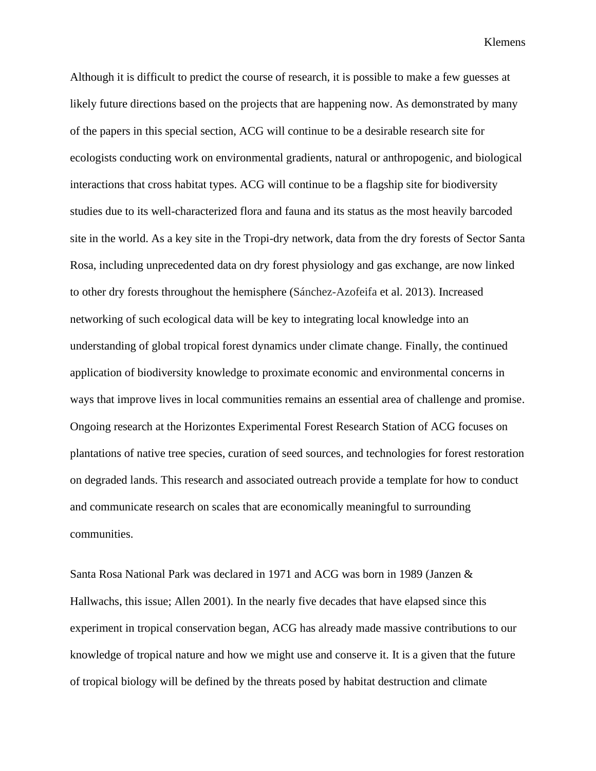Although it is difficult to predict the course of research, it is possible to make a few guesses at likely future directions based on the projects that are happening now. As demonstrated by many of the papers in this special section, ACG will continue to be a desirable research site for ecologists conducting work on environmental gradients, natural or anthropogenic, and biological interactions that cross habitat types. ACG will continue to be a flagship site for biodiversity studies due to its well-characterized flora and fauna and its status as the most heavily barcoded site in the world. As a key site in the Tropi-dry network, data from the dry forests of Sector Santa Rosa, including unprecedented data on dry forest physiology and gas exchange, are now linked to other dry forests throughout the hemisphere (Sánchez-Azofeifa et al. 2013). Increased networking of such ecological data will be key to integrating local knowledge into an understanding of global tropical forest dynamics under climate change. Finally, the continued application of biodiversity knowledge to proximate economic and environmental concerns in ways that improve lives in local communities remains an essential area of challenge and promise. Ongoing research at the Horizontes Experimental Forest Research Station of ACG focuses on plantations of native tree species, curation of seed sources, and technologies for forest restoration on degraded lands. This research and associated outreach provide a template for how to conduct and communicate research on scales that are economically meaningful to surrounding communities.

Santa Rosa National Park was declared in 1971 and ACG was born in 1989 (Janzen & Hallwachs, this issue; Allen 2001). In the nearly five decades that have elapsed since this experiment in tropical conservation began, ACG has already made massive contributions to our knowledge of tropical nature and how we might use and conserve it. It is a given that the future of tropical biology will be defined by the threats posed by habitat destruction and climate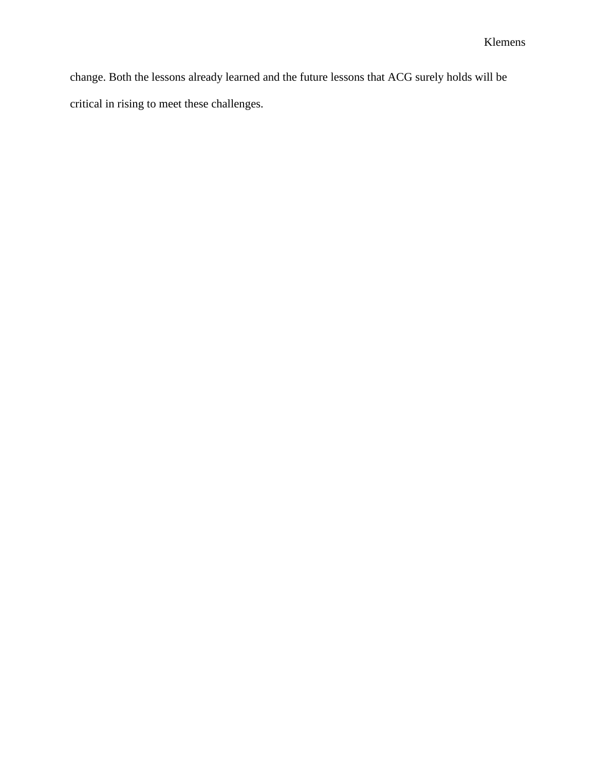change. Both the lessons already learned and the future lessons that ACG surely holds will be critical in rising to meet these challenges.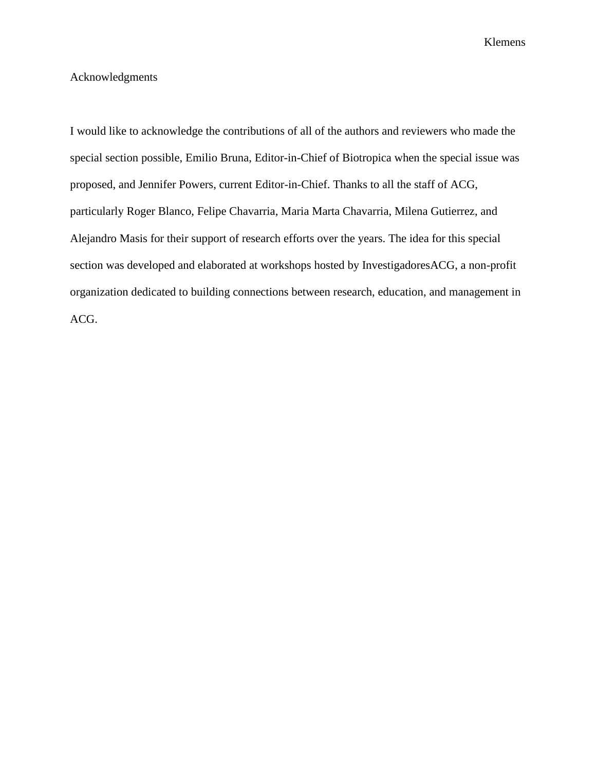### Acknowledgments

I would like to acknowledge the contributions of all of the authors and reviewers who made the special section possible, Emilio Bruna, Editor-in-Chief of Biotropica when the special issue was proposed, and Jennifer Powers, current Editor-in-Chief. Thanks to all the staff of ACG, particularly Roger Blanco, Felipe Chavarria, Maria Marta Chavarria, Milena Gutierrez, and Alejandro Masis for their support of research efforts over the years. The idea for this special section was developed and elaborated at workshops hosted by InvestigadoresACG, a non-profit organization dedicated to building connections between research, education, and management in ACG.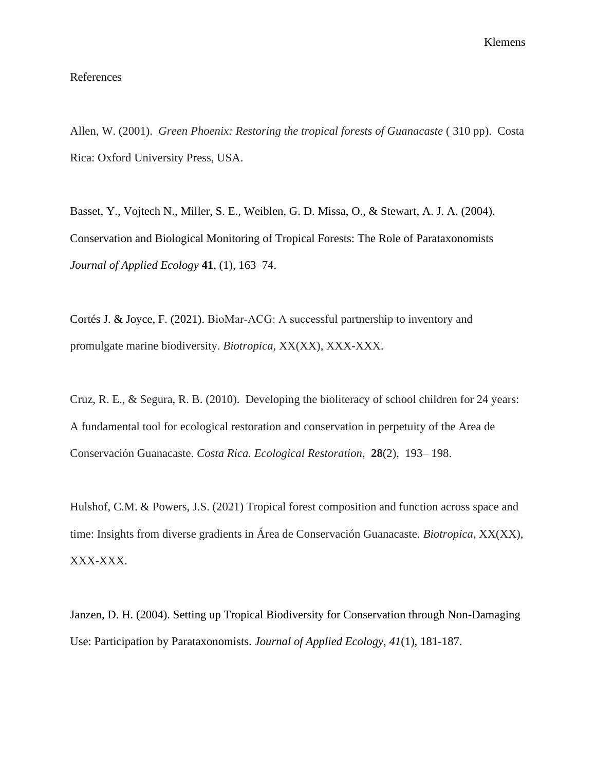#### References

Allen, W. (2001). *Green Phoenix: Restoring the tropical forests of Guanacaste* ( 310 pp). Costa Rica: Oxford University Press, USA.

Basset, Y., Vojtech N., Miller, S. E., Weiblen, G. D. Missa, O., & Stewart, A. J. A. (2004). Conservation and Biological Monitoring of Tropical Forests: The Role of Parataxonomists *Journal of Applied Ecology* **41**, (1), 163–74.

Cortés J. & Joyce, F. (2021). BioMar‐ACG: A successful partnership to inventory and promulgate marine biodiversity. *Biotropica*, XX(XX), XXX-XXX.

Cruz, R. E., & Segura, R. B. (2010). Developing the bioliteracy of school children for 24 years: A fundamental tool for ecological restoration and conservation in perpetuity of the Area de Conservación Guanacaste. *Costa Rica. Ecological Restoration*, **28**(2), 193– 198.

Hulshof, C.M. & Powers, J.S. (2021) Tropical forest composition and function across space and time: Insights from diverse gradients in Área de Conservación Guanacaste. *Biotropica*, XX(XX), XXX-XXX.

Janzen, D. H. (2004). Setting up Tropical Biodiversity for Conservation through Non-Damaging Use: Participation by Parataxonomists. *Journal of Applied Ecology, 41*(1), 181-187.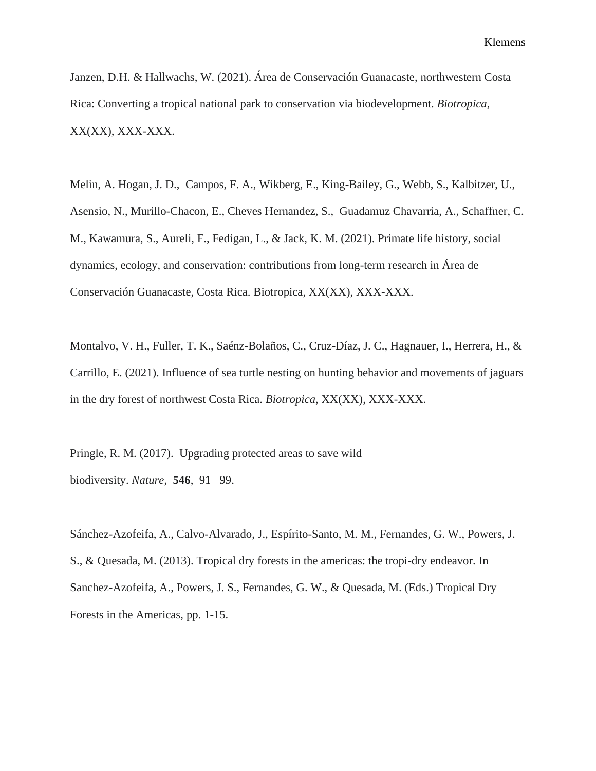Janzen, D.H. & Hallwachs, W. (2021). Área de Conservación Guanacaste, northwestern Costa Rica: Converting a tropical national park to conservation via biodevelopment. *Biotropica*, XX(XX), XXX-XXX.

Melin, A. Hogan, J. D., Campos, F. A., Wikberg, E., King-Bailey, G., Webb, S., Kalbitzer, U., Asensio, N., Murillo-Chacon, E., Cheves Hernandez, S., Guadamuz Chavarria, A., Schaffner, C. M., Kawamura, S., Aureli, F., Fedigan, L., & Jack, K. M. (2021). Primate life history, social dynamics, ecology, and conservation: contributions from long-term research in Área de Conservación Guanacaste, Costa Rica. Biotropica, XX(XX), XXX-XXX.

Montalvo, V. H., Fuller, T. K., Saénz-Bolaños, C., Cruz-Díaz, J. C., Hagnauer, I., Herrera, H., & Carrillo, E. (2021). Influence of sea turtle nesting on hunting behavior and movements of jaguars in the dry forest of northwest Costa Rica. *Biotropica*, XX(XX), XXX-XXX.

Pringle, R. M. (2017). Upgrading protected areas to save wild biodiversity. *Nature*, **546**, 91– 99.

Sánchez-Azofeifa, A., Calvo-Alvarado, J., Espírito-Santo, M. M., Fernandes, G. W., Powers, J. S., & Quesada, M. (2013). Tropical dry forests in the americas: the tropi-dry endeavor. In Sanchez-Azofeifa, A., Powers, J. S., Fernandes, G. W., & Quesada, M. (Eds.) Tropical Dry Forests in the Americas, pp. 1-15.